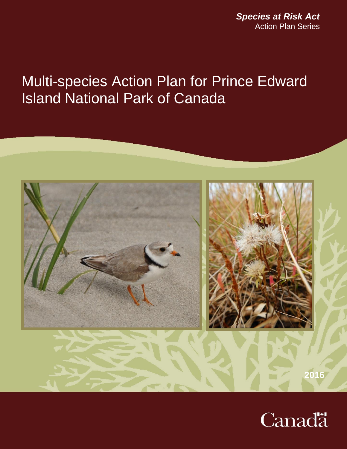*Species at Risk Act* Action Plan Series

# Multi-species Action Plan for Prince Edward Island National Park of Canada



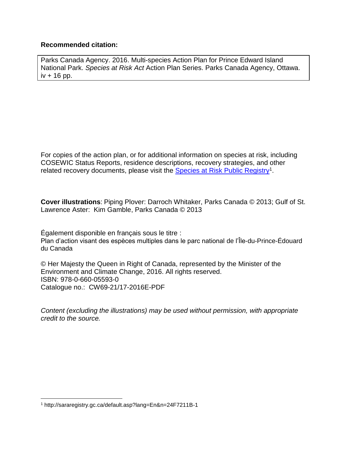#### **Recommended citation:**

Parks Canada Agency. 2016. Multi-species Action Plan for Prince Edward Island National Park. *Species at Risk Act* Action Plan Series. Parks Canada Agency, Ottawa.  $iv + 16$  pp.

For copies of the action plan, or for additional information on species at risk, including COSEWIC Status Reports, residence descriptions, recovery strategies, and other related recovery documents, please visit the **Species at Risk Public Registry**<sup>1</sup>.

**Cover illustrations**: Piping Plover: Darroch Whitaker, Parks Canada © 2013; Gulf of St. Lawrence Aster: Kim Gamble, Parks Canada © 2013

Également disponible en français sous le titre : Plan d'action visant des espèces multiples dans le parc national de l'Île-du-Prince-Édouard du Canada

© Her Majesty the Queen in Right of Canada, represented by the Minister of the Environment and Climate Change, 2016. All rights reserved. ISBN: 978-0-660-05593-0 Catalogue no.: CW69-21/17-2016E-PDF

*Content (excluding the illustrations) may be used without permission, with appropriate credit to the source.* 

 $\overline{a}$ 

<sup>1</sup> http://sararegistry.gc.ca/default.asp?lang=En&n=24F7211B-1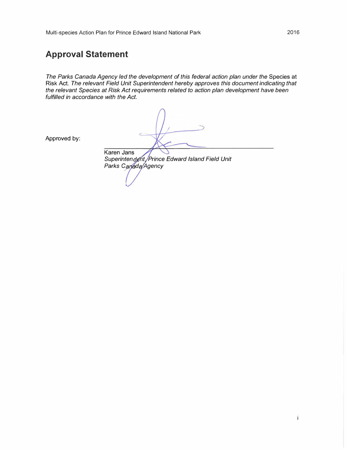### **Approval Statement**

*The Parks Canada Agency led the development of this federal action plan under the* Species at Risk Act. *The relevant Field Unit Superintendent hereby approves this document indicating that the relevant Species at Risk Act requirements related to action plan development have been fulfilled in accordance with the Act.* 

Karen Jans

Approved by:

*Superinten nt Prince Edward Island Field Unit*  **Parks Canada/Agency**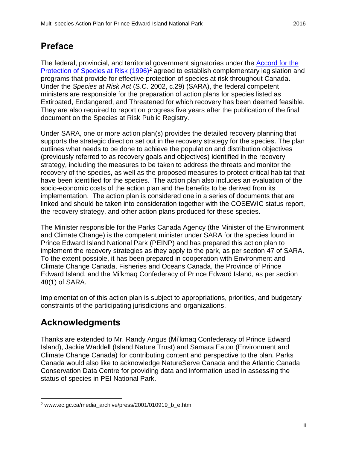# <span id="page-3-0"></span>**Preface**

The federal, provincial, and territorial government signatories under the [Accord for the](http://www.ec.gc.ca/media_archive/press/2001/010919_b_e.htm)  [Protection of Species at Risk \(1996\)](http://www.ec.gc.ca/media_archive/press/2001/010919_b_e.htm)<sup>2</sup> agreed to establish complementary legislation and programs that provide for effective protection of species at risk throughout Canada. Under the *Species at Risk Act* (S.C. 2002, c.29) (SARA), the federal competent ministers are responsible for the preparation of action plans for species listed as Extirpated, Endangered, and Threatened for which recovery has been deemed feasible. They are also required to report on progress five years after the publication of the final document on the Species at Risk Public Registry.

Under SARA, one or more action plan(s) provides the detailed recovery planning that supports the strategic direction set out in the recovery strategy for the species. The plan outlines what needs to be done to achieve the population and distribution objectives (previously referred to as recovery goals and objectives) identified in the recovery strategy, including the measures to be taken to address the threats and monitor the recovery of the species, as well as the proposed measures to protect critical habitat that have been identified for the species. The action plan also includes an evaluation of the socio-economic costs of the action plan and the benefits to be derived from its implementation. The action plan is considered one in a series of documents that are linked and should be taken into consideration together with the COSEWIC status report, the recovery strategy, and other action plans produced for these species.

The Minister responsible for the Parks Canada Agency (the Minister of the Environment and Climate Change) is the competent minister under SARA for the species found in Prince Edward Island National Park (PEINP) and has prepared this action plan to implement the recovery strategies as they apply to the park, as per section 47 of SARA. To the extent possible, it has been prepared in cooperation with Environment and Climate Change Canada, Fisheries and Oceans Canada, the Province of Prince Edward Island, and the Mi'kmaq Confederacy of Prince Edward Island, as per section 48(1) of SARA.

Implementation of this action plan is subject to appropriations, priorities, and budgetary constraints of the participating jurisdictions and organizations.

# <span id="page-3-1"></span>**Acknowledgments**

 $\overline{a}$ 

Thanks are extended to Mr. Randy Angus (Mi'kmaq Confederacy of Prince Edward Island), Jackie Waddell (Island Nature Trust) and Samara Eaton (Environment and Climate Change Canada) for contributing content and perspective to the plan. Parks Canada would also like to acknowledge NatureServe Canada and the Atlantic Canada Conservation Data Centre for providing data and information used in assessing the status of species in PEI National Park.

<sup>2</sup> www.ec.gc.ca/media\_archive/press/2001/010919\_b\_e.htm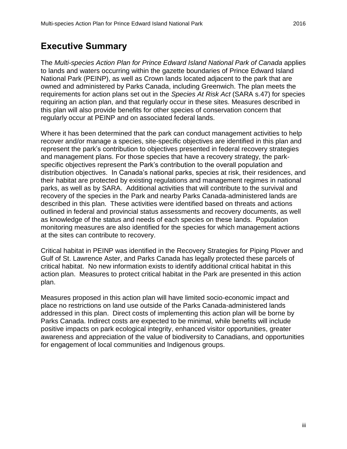# <span id="page-4-0"></span>**Executive Summary**

The *Multi-species Action Plan for Prince Edward Island National Park of Canada* applies to lands and waters occurring within the gazette boundaries of Prince Edward Island National Park (PEINP), as well as Crown lands located adjacent to the park that are owned and administered by Parks Canada, including Greenwich. The plan meets the requirements for action plans set out in the *Species At Risk Act* (SARA s.47) for species requiring an action plan, and that regularly occur in these sites. Measures described in this plan will also provide benefits for other species of conservation concern that regularly occur at PEINP and on associated federal lands.

Where it has been determined that the park can conduct management activities to help recover and/or manage a species, site-specific objectives are identified in this plan and represent the park's contribution to objectives presented in federal recovery strategies and management plans. For those species that have a recovery strategy, the parkspecific objectives represent the Park's contribution to the overall population and distribution objectives. In Canada's national parks, species at risk, their residences, and their habitat are protected by existing regulations and management regimes in national parks, as well as by SARA. Additional activities that will contribute to the survival and recovery of the species in the Park and nearby Parks Canada-administered lands are described in this plan. These activities were identified based on threats and actions outlined in federal and provincial status assessments and recovery documents, as well as knowledge of the status and needs of each species on these lands. Population monitoring measures are also identified for the species for which management actions at the sites can contribute to recovery.

Critical habitat in PEINP was identified in the Recovery Strategies for Piping Plover and Gulf of St. Lawrence Aster, and Parks Canada has legally protected these parcels of critical habitat. No new information exists to identify additional critical habitat in this action plan. Measures to protect critical habitat in the Park are presented in this action plan.

Measures proposed in this action plan will have limited socio-economic impact and place no restrictions on land use outside of the Parks Canada-administered lands addressed in this plan. Direct costs of implementing this action plan will be borne by Parks Canada. Indirect costs are expected to be minimal, while benefits will include positive impacts on park ecological integrity, enhanced visitor opportunities, greater awareness and appreciation of the value of biodiversity to Canadians, and opportunities for engagement of local communities and Indigenous groups.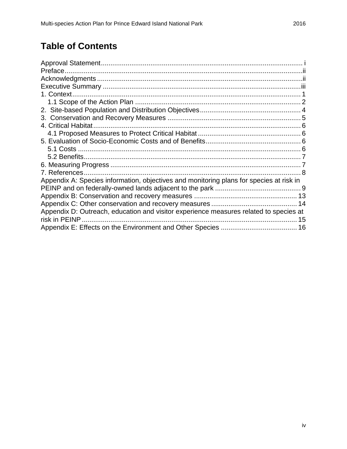# **Table of Contents**

| 4. Critical Habitat                                                                     |  |
|-----------------------------------------------------------------------------------------|--|
|                                                                                         |  |
|                                                                                         |  |
|                                                                                         |  |
|                                                                                         |  |
|                                                                                         |  |
|                                                                                         |  |
| Appendix A: Species information, objectives and monitoring plans for species at risk in |  |
|                                                                                         |  |
|                                                                                         |  |
|                                                                                         |  |
| Appendix D: Outreach, education and visitor experience measures related to species at   |  |
| risk in PEINP                                                                           |  |
|                                                                                         |  |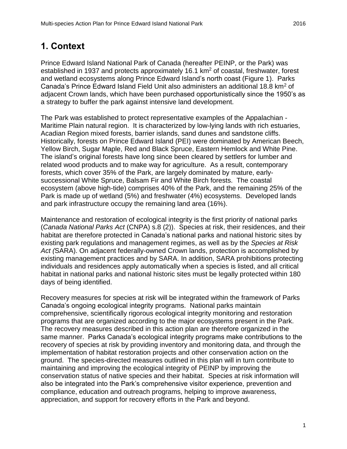### <span id="page-6-0"></span>**1. Context**

Prince Edward Island National Park of Canada (hereafter PEINP, or the Park) was established in 1937 and protects approximately 16.1 km<sup>2</sup> of coastal, freshwater, forest and wetland ecosystems along Prince Edward Island's north coast (Figure 1). Parks Canada's Prince Edward Island Field Unit also administers an additional 18.8 km<sup>2</sup> of adjacent Crown lands, which have been purchased opportunistically since the 1950's as a strategy to buffer the park against intensive land development.

The Park was established to protect representative examples of the Appalachian - Maritime Plain natural region. It is characterized by low-lying lands with rich estuaries, Acadian Region mixed forests, barrier islands, sand dunes and sandstone cliffs. Historically, forests on Prince Edward Island (PEI) were dominated by American Beech, Yellow Birch, Sugar Maple, Red and Black Spruce, Eastern Hemlock and White Pine. The island's original forests have long since been cleared by settlers for lumber and related wood products and to make way for agriculture. As a result, contemporary forests, which cover 35% of the Park, are largely dominated by mature, earlysuccessional White Spruce, Balsam Fir and White Birch forests. The coastal ecosystem (above high-tide) comprises 40% of the Park, and the remaining 25% of the Park is made up of wetland (5%) and freshwater (4%) ecosystems. Developed lands and park infrastructure occupy the remaining land area (16%).

Maintenance and restoration of ecological integrity is the first priority of national parks (*Canada National Parks Act* (CNPA) s.8 (2)). Species at risk, their residences, and their habitat are therefore protected in Canada's national parks and national historic sites by existing park regulations and management regimes, as well as by the *Species at Risk Act (*SARA). On adjacent federally-owned Crown lands, protection is accomplished by existing management practices and by SARA. In addition, SARA prohibitions protecting individuals and residences apply automatically when a species is listed, and all critical habitat in national parks and national historic sites must be legally protected within 180 days of being identified.

Recovery measures for species at risk will be integrated within the framework of Parks Canada's ongoing ecological integrity programs. National parks maintain comprehensive, scientifically rigorous ecological integrity monitoring and restoration programs that are organized according to the major ecosystems present in the Park. The recovery measures described in this action plan are therefore organized in the same manner. Parks Canada's ecological integrity programs make contributions to the recovery of species at risk by providing inventory and monitoring data, and through the implementation of habitat restoration projects and other conservation action on the ground. The species-directed measures outlined in this plan will in turn contribute to maintaining and improving the ecological integrity of PEINP by improving the conservation status of native species and their habitat. Species at risk information will also be integrated into the Park's comprehensive visitor experience, prevention and compliance, education and outreach programs, helping to improve awareness, appreciation, and support for recovery efforts in the Park and beyond.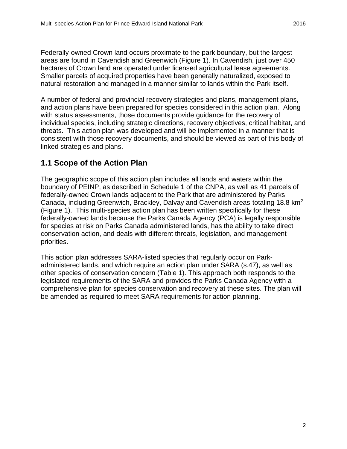Federally-owned Crown land occurs proximate to the park boundary, but the largest areas are found in Cavendish and Greenwich (Figure 1). In Cavendish, just over 450 hectares of Crown land are operated under licensed agricultural lease agreements. Smaller parcels of acquired properties have been generally naturalized, exposed to natural restoration and managed in a manner similar to lands within the Park itself.

A number of federal and provincial recovery strategies and plans, management plans, and action plans have been prepared for species considered in this action plan. Along with status assessments, those documents provide guidance for the recovery of individual species, including strategic directions, recovery objectives, critical habitat, and threats. This action plan was developed and will be implemented in a manner that is consistent with those recovery documents, and should be viewed as part of this body of linked strategies and plans.

#### <span id="page-7-0"></span>**1.1 Scope of the Action Plan**

The geographic scope of this action plan includes all lands and waters within the boundary of PEINP, as described in Schedule 1 of the CNPA, as well as 41 parcels of federally-owned Crown lands adjacent to the Park that are administered by Parks Canada, including Greenwich, Brackley, Dalvay and Cavendish areas totaling 18.8 km<sup>2</sup> (Figure 1). This multi-species action plan has been written specifically for these federally-owned lands because the Parks Canada Agency (PCA) is legally responsible for species at risk on Parks Canada administered lands, has the ability to take direct conservation action, and deals with different threats, legislation, and management priorities.

This action plan addresses SARA-listed species that regularly occur on Parkadministered lands, and which require an action plan under SARA (s.47), as well as other species of conservation concern (Table 1). This approach both responds to the legislated requirements of the SARA and provides the Parks Canada Agency with a comprehensive plan for species conservation and recovery at these sites. The plan will be amended as required to meet SARA requirements for action planning.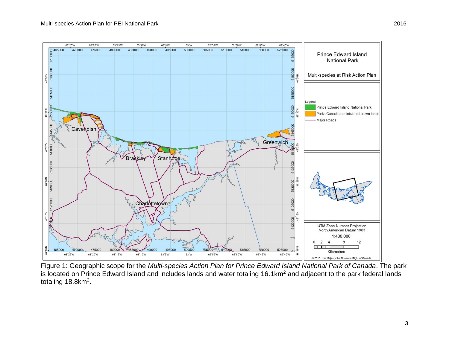

Figure 1: Geographic scope for the *Multi-species Action Plan for Prince Edward Island National Park of Canada*. The park is located on Prince Edward Island and includes lands and water totaling 16.1km<sup>2</sup> and adjacent to the park federal lands totaling  $18.8$ km<sup>2</sup>.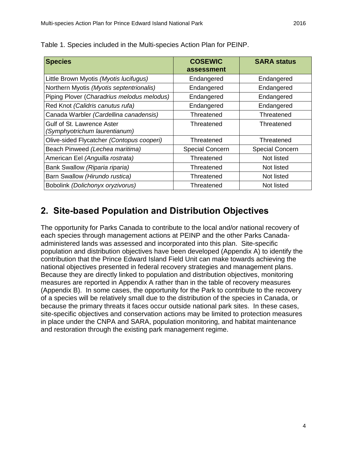| <b>Species</b>                                              | <b>COSEWIC</b><br>assessment | <b>SARA status</b>     |
|-------------------------------------------------------------|------------------------------|------------------------|
| Little Brown Myotis (Myotis lucifugus)                      | Endangered                   | Endangered             |
| Northern Myotis (Myotis septentrionalis)                    | Endangered                   | Endangered             |
| Piping Plover (Charadrius melodus melodus)                  | Endangered                   | Endangered             |
| Red Knot (Calidris canutus rufa)                            | Endangered                   | Endangered             |
| Canada Warbler (Cardellina canadensis)                      | Threatened                   | Threatened             |
| Gulf of St. Lawrence Aster<br>(Symphyotrichum laurentianum) | Threatened                   | Threatened             |
| Olive-sided Flycatcher (Contopus cooperi)                   | Threatened                   | Threatened             |
| Beach Pinweed (Lechea maritima)                             | <b>Special Concern</b>       | <b>Special Concern</b> |
| American Eel (Anguilla rostrata)                            | Threatened                   | Not listed             |
| Bank Swallow (Riparia riparia)                              | Threatened                   | Not listed             |
| Barn Swallow (Hirundo rustica)                              | Threatened                   | Not listed             |
| Bobolink (Dolichonyx oryzivorus)                            | Threatened                   | Not listed             |

Table 1. Species included in the Multi-species Action Plan for PEINP.

# <span id="page-9-0"></span>**2. Site-based Population and Distribution Objectives**

The opportunity for Parks Canada to contribute to the local and/or national recovery of each species through management actions at PEINP and the other Parks Canadaadministered lands was assessed and incorporated into this plan. Site-specific population and distribution objectives have been developed (Appendix A) to identify the contribution that the Prince Edward Island Field Unit can make towards achieving the national objectives presented in federal recovery strategies and management plans. Because they are directly linked to population and distribution objectives, monitoring measures are reported in Appendix A rather than in the table of recovery measures (Appendix B). In some cases, the opportunity for the Park to contribute to the recovery of a species will be relatively small due to the distribution of the species in Canada, or because the primary threats it faces occur outside national park sites. In these cases, site-specific objectives and conservation actions may be limited to protection measures in place under the CNPA and SARA, population monitoring, and habitat maintenance and restoration through the existing park management regime.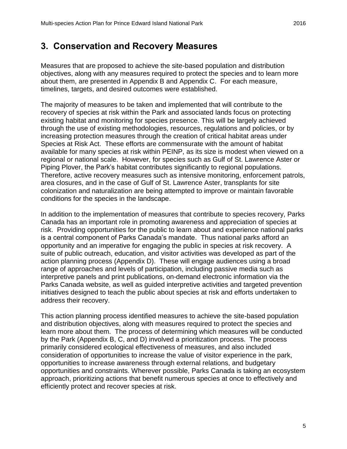# <span id="page-10-0"></span>**3. Conservation and Recovery Measures**

Measures that are proposed to achieve the site-based population and distribution objectives, along with any measures required to protect the species and to learn more about them, are presented in Appendix B and Appendix C. For each measure, timelines, targets, and desired outcomes were established.

The majority of measures to be taken and implemented that will contribute to the recovery of species at risk within the Park and associated lands focus on protecting existing habitat and monitoring for species presence. This will be largely achieved through the use of existing methodologies, resources, regulations and policies, or by increasing protection measures through the creation of critical habitat areas under Species at Risk Act. These efforts are commensurate with the amount of habitat available for many species at risk within PEINP, as its size is modest when viewed on a regional or national scale. However, for species such as Gulf of St. Lawrence Aster or Piping Plover, the Park's habitat contributes significantly to regional populations. Therefore, active recovery measures such as intensive monitoring, enforcement patrols, area closures, and in the case of Gulf of St. Lawrence Aster, transplants for site colonization and naturalization are being attempted to improve or maintain favorable conditions for the species in the landscape.

In addition to the implementation of measures that contribute to species recovery, Parks Canada has an important role in promoting awareness and appreciation of species at risk. Providing opportunities for the public to learn about and experience national parks is a central component of Parks Canada's mandate. Thus national parks afford an opportunity and an imperative for engaging the public in species at risk recovery. A suite of public outreach, education, and visitor activities was developed as part of the action planning process (Appendix D). These will engage audiences using a broad range of approaches and levels of participation, including passive media such as interpretive panels and print publications, on-demand electronic information via the Parks Canada website, as well as guided interpretive activities and targeted prevention initiatives designed to teach the public about species at risk and efforts undertaken to address their recovery.

This action planning process identified measures to achieve the site-based population and distribution objectives, along with measures required to protect the species and learn more about them. The process of determining which measures will be conducted by the Park (Appendix B, C, and D) involved a prioritization process. The process primarily considered ecological effectiveness of measures, and also included consideration of opportunities to increase the value of visitor experience in the park, opportunities to increase awareness through external relations, and budgetary opportunities and constraints. Wherever possible, Parks Canada is taking an ecosystem approach, prioritizing actions that benefit numerous species at once to effectively and efficiently protect and recover species at risk.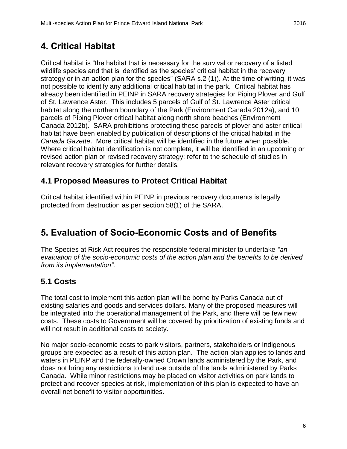# <span id="page-11-0"></span>**4. Critical Habitat**

Critical habitat is "the habitat that is necessary for the survival or recovery of a listed wildlife species and that is identified as the species' critical habitat in the recovery strategy or in an action plan for the species" (SARA s.2 (1)). At the time of writing, it was not possible to identify any additional critical habitat in the park. Critical habitat has already been identified in PEINP in SARA recovery strategies for Piping Plover and Gulf of St. Lawrence Aster. This includes 5 parcels of Gulf of St. Lawrence Aster critical habitat along the northern boundary of the Park (Environment Canada 2012a), and 10 parcels of Piping Plover critical habitat along north shore beaches (Environment Canada 2012b). SARA prohibitions protecting these parcels of plover and aster critical habitat have been enabled by publication of descriptions of the critical habitat in the *Canada Gazette*. More critical habitat will be identified in the future when possible. Where critical habitat identification is not complete, it will be identified in an upcoming or revised action plan or revised recovery strategy; refer to the schedule of studies in relevant recovery strategies for further details.

#### <span id="page-11-1"></span>**4.1 Proposed Measures to Protect Critical Habitat**

Critical habitat identified within PEINP in previous recovery documents is legally protected from destruction as per section 58(1) of the SARA.

# <span id="page-11-2"></span>**5. Evaluation of Socio-Economic Costs and of Benefits**

The Species at Risk Act requires the responsible federal minister to undertake *"an evaluation of the socio-economic costs of the action plan and the benefits to be derived from its implementation"*.

### <span id="page-11-3"></span>**5.1 Costs**

The total cost to implement this action plan will be borne by Parks Canada out of existing salaries and goods and services dollars. Many of the proposed measures will be integrated into the operational management of the Park, and there will be few new costs. These costs to Government will be covered by prioritization of existing funds and will not result in additional costs to society.

No major socio-economic costs to park visitors, partners, stakeholders or Indigenous groups are expected as a result of this action plan. The action plan applies to lands and waters in PEINP and the federally-owned Crown lands administered by the Park, and does not bring any restrictions to land use outside of the lands administered by Parks Canada. While minor restrictions may be placed on visitor activities on park lands to protect and recover species at risk, implementation of this plan is expected to have an overall net benefit to visitor opportunities.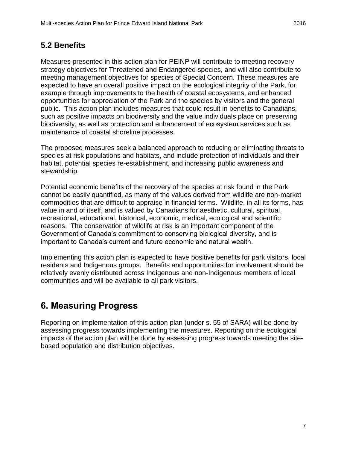#### <span id="page-12-0"></span>**5.2 Benefits**

Measures presented in this action plan for PEINP will contribute to meeting recovery strategy objectives for Threatened and Endangered species, and will also contribute to meeting management objectives for species of Special Concern. These measures are expected to have an overall positive impact on the ecological integrity of the Park, for example through improvements to the health of coastal ecosystems, and enhanced opportunities for appreciation of the Park and the species by visitors and the general public. This action plan includes measures that could result in benefits to Canadians, such as positive impacts on biodiversity and the value individuals place on preserving biodiversity, as well as protection and enhancement of ecosystem services such as maintenance of coastal shoreline processes.

The proposed measures seek a balanced approach to reducing or eliminating threats to species at risk populations and habitats, and include protection of individuals and their habitat, potential species re-establishment, and increasing public awareness and stewardship.

Potential economic benefits of the recovery of the species at risk found in the Park cannot be easily quantified, as many of the values derived from wildlife are non-market commodities that are difficult to appraise in financial terms. Wildlife, in all its forms, has value in and of itself, and is valued by Canadians for aesthetic, cultural, spiritual, recreational, educational, historical, economic, medical, ecological and scientific reasons. The conservation of wildlife at risk is an important component of the Government of Canada's commitment to conserving biological diversity, and is important to Canada's current and future economic and natural wealth.

Implementing this action plan is expected to have positive benefits for park visitors, local residents and Indigenous groups. Benefits and opportunities for involvement should be relatively evenly distributed across Indigenous and non-Indigenous members of local communities and will be available to all park visitors.

# <span id="page-12-1"></span>**6. Measuring Progress**

Reporting on implementation of this action plan (under s. 55 of SARA) will be done by assessing progress towards implementing the measures. Reporting on the ecological impacts of the action plan will be done by assessing progress towards meeting the sitebased population and distribution objectives.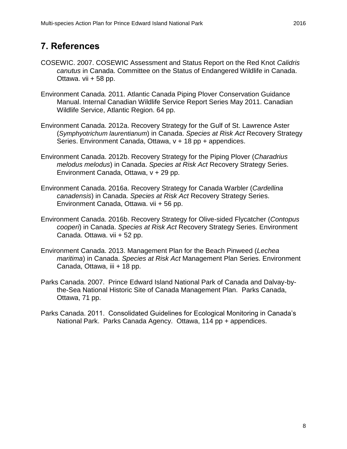### <span id="page-13-0"></span>**7. References**

- COSEWIC. 2007. COSEWIC Assessment and Status Report on the Red Knot *Calidris canutus* in Canada. Committee on the Status of Endangered Wildlife in Canada. Ottawa. vii + 58 pp.
- Environment Canada. 2011. Atlantic Canada Piping Plover Conservation Guidance Manual. Internal Canadian Wildlife Service Report Series May 2011. Canadian Wildlife Service, Atlantic Region. 64 pp.
- Environment Canada. 2012a. Recovery Strategy for the Gulf of St. Lawrence Aster (*Symphyotrichum laurentianum*) in Canada. *Species at Risk Act* Recovery Strategy Series. Environment Canada, Ottawa, v + 18 pp + appendices.
- Environment Canada. 2012b. Recovery Strategy for the Piping Plover (*Charadrius melodus melodus*) in Canada. *Species at Risk Act* Recovery Strategy Series. Environment Canada, Ottawa, v + 29 pp.
- Environment Canada. 2016a. Recovery Strategy for Canada Warbler (*Cardellina canadensis*) in Canada. *Species at Risk Act* Recovery Strategy Series. Environment Canada, Ottawa. vii + 56 pp.
- Environment Canada. 2016b. Recovery Strategy for Olive-sided Flycatcher (*Contopus cooperi*) in Canada. *Species at Risk Act* Recovery Strategy Series. Environment Canada. Ottawa. vii + 52 pp.
- Environment Canada. 2013. Management Plan for the Beach Pinweed (*Lechea maritima*) in Canada. *Species at Risk Act* Management Plan Series. Environment Canada, Ottawa, iii + 18 pp.
- Parks Canada. 2007. Prince Edward Island National Park of Canada and Dalvay-bythe-Sea National Historic Site of Canada Management Plan. Parks Canada, Ottawa, 71 pp.
- Parks Canada. 2011. Consolidated Guidelines for Ecological Monitoring in Canada's National Park. Parks Canada Agency. Ottawa, 114 pp + appendices.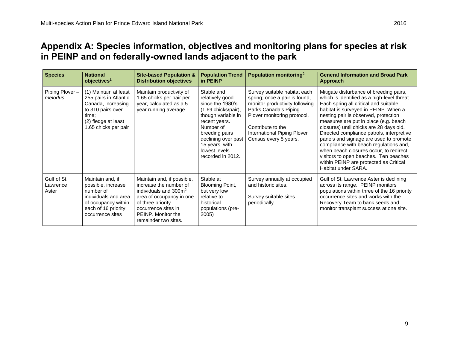## **Appendix A: Species information, objectives and monitoring plans for species at risk in PEINP and on federally-owned lands adjacent to the park**

<span id="page-14-0"></span>

| <b>Species</b>                   | <b>National</b><br>objectives <sup>1</sup>                                                                                                        | <b>Site-based Population &amp;</b><br><b>Distribution objectives</b>                                                                                                                                 | <b>Population Trend</b><br>in PEINP                                                                                                                                                                                             | Population monitoring <sup>2</sup>                                                                                                                                                                                                   | <b>General Information and Broad Park</b><br>Approach                                                                                                                                                                                                                                                                                                                                                                                                                                                                                                                                    |
|----------------------------------|---------------------------------------------------------------------------------------------------------------------------------------------------|------------------------------------------------------------------------------------------------------------------------------------------------------------------------------------------------------|---------------------------------------------------------------------------------------------------------------------------------------------------------------------------------------------------------------------------------|--------------------------------------------------------------------------------------------------------------------------------------------------------------------------------------------------------------------------------------|------------------------------------------------------------------------------------------------------------------------------------------------------------------------------------------------------------------------------------------------------------------------------------------------------------------------------------------------------------------------------------------------------------------------------------------------------------------------------------------------------------------------------------------------------------------------------------------|
| Piping Plover-<br>melodus        | (1) Maintain at least<br>255 pairs in Atlantic<br>Canada, increasing<br>to 310 pairs over<br>time:<br>(2) fledge at least<br>1.65 chicks per pair | Maintain productivity of<br>1.65 chicks per pair per<br>year, calculated as a 5<br>year running average.                                                                                             | Stable and<br>relatively good<br>since the 1980's<br>$(1.69$ chicks/pair),<br>though variable in<br>recent years.<br>Number of<br>breeding pairs<br>declining over past<br>15 years, with<br>lowest levels<br>recorded in 2012. | Survey suitable habitat each<br>spring; once a pair is found,<br>monitor productivity following<br>Parks Canada's Piping<br>Plover monitoring protocol.<br>Contribute to the<br>International Piping Plover<br>Census every 5 years. | Mitigate disturbance of breeding pairs,<br>which is identified as a high-level threat.<br>Each spring all critical and suitable<br>habitat is surveyed in PEINP. When a<br>nesting pair is observed, protection<br>measures are put in place (e.g. beach<br>closures) until chicks are 28 days old.<br>Directed compliance patrols, interpretive<br>panels and signage are used to promote<br>compliance with beach regulations and,<br>when beach closures occur, to redirect<br>visitors to open beaches. Ten beaches<br>within PEINP are protected as Critical<br>Habitat under SARA. |
| Gulf of St.<br>Lawrence<br>Aster | Maintain and, if<br>possible, increase<br>number of<br>individuals and area<br>of occupancy within<br>each of 16 priority<br>occurrence sites     | Maintain and, if possible,<br>increase the number of<br>individuals and $3002$<br>area of occupancy in one<br>of three priority<br>occurrence sites in<br>PEINP. Monitor the<br>remainder two sites. | Stable at<br>Blooming Point,<br>but very low<br>relative to<br>historical<br>populations (pre-<br>2005)                                                                                                                         | Survey annually at occupied<br>and historic sites.<br>Survey suitable sites<br>periodically.                                                                                                                                         | Gulf of St. Lawrence Aster is declining<br>across its range. PEINP monitors<br>populations within three of the 16 priority<br>occurrence sites and works with the<br>Recovery Team to bank seeds and<br>monitor transplant success at one site.                                                                                                                                                                                                                                                                                                                                          |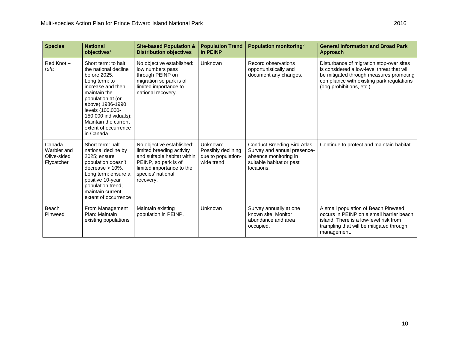| <b>Species</b>                                     | <b>National</b><br>objectives <sup>1</sup>                                                                                                                                                                                                                           | <b>Site-based Population &amp;</b><br><b>Distribution objectives</b>                                                                                                         | <b>Population Trend</b><br>in PEINP                                | Population monitoring <sup>2</sup>                                                                                                   | <b>General Information and Broad Park</b><br>Approach                                                                                                                                                      |
|----------------------------------------------------|----------------------------------------------------------------------------------------------------------------------------------------------------------------------------------------------------------------------------------------------------------------------|------------------------------------------------------------------------------------------------------------------------------------------------------------------------------|--------------------------------------------------------------------|--------------------------------------------------------------------------------------------------------------------------------------|------------------------------------------------------------------------------------------------------------------------------------------------------------------------------------------------------------|
| Red Knot-<br>rufa                                  | Short term: to halt<br>the national decline<br>before 2025.<br>Long term: to<br>increase and then<br>maintain the<br>population at (or<br>above) 1986-1990<br>levels (100,000-<br>150,000 individuals);<br>Maintain the current<br>extent of occurrence<br>in Canada | No objective established:<br>low numbers pass<br>through PEINP on<br>migration so park is of<br>limited importance to<br>national recovery.                                  | Unknown                                                            | Record observations<br>opportunistically and<br>document any changes.                                                                | Disturbance of migration stop-over sites<br>is considered a low-level threat that will<br>be mitigated through measures promoting<br>compliance with existing park regulations<br>(dog prohibitions, etc.) |
| Canada<br>Warbler and<br>Olive-sided<br>Flycatcher | Short term: halt<br>national decline by<br>2025; ensure<br>population doesn't<br>decrease $> 10\%$ .<br>Long term: ensure a<br>positive 10-year<br>population trend;<br>maintain current<br>extent of occurrence                                                     | No objective established:<br>limited breeding activity<br>and suitable habitat within<br>PEINP, so park is of<br>limited importance to the<br>species' national<br>recovery. | Unknown:<br>Possibly declining<br>due to population-<br>wide trend | <b>Conduct Breeding Bird Atlas</b><br>Survey and annual presence-<br>absence monitoring in<br>suitable habitat or past<br>locations. | Continue to protect and maintain habitat.                                                                                                                                                                  |
| Beach<br>Pinweed                                   | From Management<br>Plan: Maintain<br>existing populations                                                                                                                                                                                                            | Maintain existing<br>population in PEINP.                                                                                                                                    | Unknown                                                            | Survey annually at one<br>known site. Monitor<br>abundance and area<br>occupied.                                                     | A small population of Beach Pinweed<br>occurs in PEINP on a small barrier beach<br>island. There is a low-level risk from<br>trampling that will be mitigated through<br>management.                       |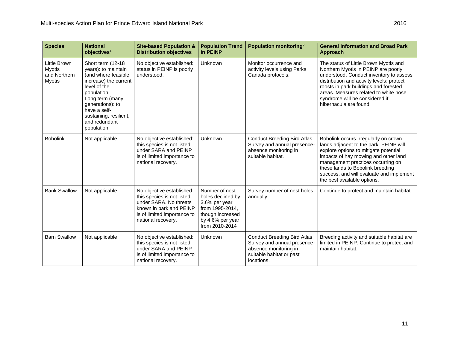| <b>Species</b>                                          | <b>National</b><br>objectives <sup>1</sup>                                                                                                                                                                                               | <b>Site-based Population &amp;</b><br><b>Distribution objectives</b>                                                                                              | <b>Population Trend</b><br>in PEINP                                                                                               | Population monitoring <sup>2</sup>                                                                                                   | <b>General Information and Broad Park</b><br><b>Approach</b>                                                                                                                                                                                                                                                        |
|---------------------------------------------------------|------------------------------------------------------------------------------------------------------------------------------------------------------------------------------------------------------------------------------------------|-------------------------------------------------------------------------------------------------------------------------------------------------------------------|-----------------------------------------------------------------------------------------------------------------------------------|--------------------------------------------------------------------------------------------------------------------------------------|---------------------------------------------------------------------------------------------------------------------------------------------------------------------------------------------------------------------------------------------------------------------------------------------------------------------|
| Little Brown<br>Myotis<br>and Northern<br><b>Myotis</b> | Short term (12-18<br>years): to maintain<br>(and where feasible)<br>increase) the current<br>level of the<br>population.<br>Long term (many<br>generations): to<br>have a self-<br>sustaining, resilient,<br>and redundant<br>population | No objective established:<br>status in PEINP is poorly<br>understood.                                                                                             | Unknown                                                                                                                           | Monitor occurrence and<br>activity levels using Parks<br>Canada protocols.                                                           | The status of Little Brown Myotis and<br>Northern Myotis in PEINP are poorly<br>understood. Conduct inventory to assess<br>distribution and activity levels; protect<br>roosts in park buildings and forested<br>areas. Measures related to white nose<br>syndrome will be considered if<br>hibernacula are found.  |
| <b>Bobolink</b>                                         | Not applicable                                                                                                                                                                                                                           | No objective established:<br>this species is not listed<br>under SARA and PEINP<br>is of limited importance to<br>national recovery.                              | Unknown                                                                                                                           | <b>Conduct Breeding Bird Atlas</b><br>Survey and annual presence-<br>absence monitoring in<br>suitable habitat.                      | Bobolink occurs irregularly on crown<br>lands adjacent to the park. PEINP will<br>explore options to mitigate potential<br>impacts of hay mowing and other land<br>management practices occurring on<br>these lands to Bobolink breeding<br>success, and will evaluate and implement<br>the best available options. |
| <b>Bank Swallow</b>                                     | Not applicable                                                                                                                                                                                                                           | No objective established:<br>this species is not listed<br>under SARA. No threats<br>known in park and PEINP<br>is of limited importance to<br>national recovery. | Number of nest<br>holes declined by<br>3.6% per year<br>from 1995-2014,<br>though increased<br>by 4.6% per year<br>from 2010-2014 | Survey number of nest holes<br>annually.                                                                                             | Continue to protect and maintain habitat.                                                                                                                                                                                                                                                                           |
| <b>Barn Swallow</b>                                     | Not applicable                                                                                                                                                                                                                           | No objective established:<br>this species is not listed<br>under SARA and PEINP<br>is of limited importance to<br>national recovery.                              | Unknown                                                                                                                           | <b>Conduct Breeding Bird Atlas</b><br>Survey and annual presence-<br>absence monitoring in<br>suitable habitat or past<br>locations. | Breeding activity and suitable habitat are<br>limited in PEINP. Continue to protect and<br>maintain habitat.                                                                                                                                                                                                        |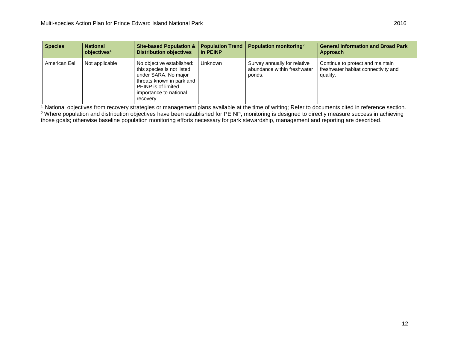| <b>Species</b> | <b>National</b><br>objectives <sup>1</sup> | <b>Site-based Population &amp;</b><br><b>Distribution objectives</b>                                                                                                             | <b>Population Trend</b><br>in PEINP | <b>Population monitoring</b> <sup>2</sup>                             | <b>General Information and Broad Park</b><br>Approach                               |
|----------------|--------------------------------------------|----------------------------------------------------------------------------------------------------------------------------------------------------------------------------------|-------------------------------------|-----------------------------------------------------------------------|-------------------------------------------------------------------------------------|
| American Eel   | Not applicable                             | No objective established:<br>this species is not listed<br>under SARA. No major<br>threats known in park and<br><b>PEINP</b> is of limited<br>importance to national<br>recovery | Unknown                             | Survey annually for relative<br>abundance within freshwater<br>ponds. | Continue to protect and maintain<br>freshwater habitat connectivity and<br>quality. |

<sup>1</sup> National objectives from recovery strategies or management plans available at the time of writing; Refer to documents cited in reference section. <sup>2</sup> Where population and distribution objectives have been established for PEINP, monitoring is designed to directly measure success in achieving those goals; otherwise baseline population monitoring efforts necessary for park stewardship, management and reporting are described.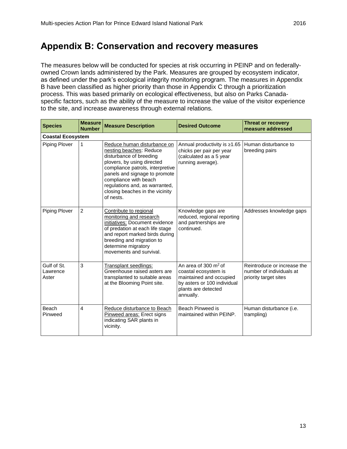### <span id="page-18-0"></span>**Appendix B: Conservation and recovery measures**

The measures below will be conducted for species at risk occurring in PEINP and on federallyowned Crown lands administered by the Park. Measures are grouped by ecosystem indicator, as defined under the park's ecological integrity monitoring program. The measures in Appendix B have been classified as higher priority than those in Appendix C through a prioritization process. This was based primarily on ecological effectiveness, but also on Parks Canadaspecific factors, such as the ability of the measure to increase the value of the visitor experience to the site, and increase awareness through external relations.

| <b>Species</b>                   | <b>Measure</b><br><b>Number</b> | <b>Measure Description</b>                                                                                                                                                                                                                                                                      | <b>Desired Outcome</b>                                                                                                                       | <b>Threat or recovery</b><br>measure addressed                                   |  |  |  |
|----------------------------------|---------------------------------|-------------------------------------------------------------------------------------------------------------------------------------------------------------------------------------------------------------------------------------------------------------------------------------------------|----------------------------------------------------------------------------------------------------------------------------------------------|----------------------------------------------------------------------------------|--|--|--|
|                                  | <b>Coastal Ecosystem</b>        |                                                                                                                                                                                                                                                                                                 |                                                                                                                                              |                                                                                  |  |  |  |
| <b>Piping Plover</b>             | 1                               | Reduce human disturbance on<br>nesting beaches: Reduce<br>disturbance of breeding<br>plovers, by using directed<br>compliance patrols, interpretive<br>panels and signage to promote<br>compliance with beach<br>regulations and, as warranted,<br>closing beaches in the vicinity<br>of nests. | Annual productivity is ≥1.65<br>chicks per pair per year<br>(calculated as a 5 year<br>running average).                                     | Human disturbance to<br>breeding pairs                                           |  |  |  |
| Piping Plover                    | $\overline{2}$                  | Contribute to regional<br>monitoring and research<br>initiatives: Document evidence<br>of predation at each life stage<br>and report marked birds during<br>breeding and migration to<br>determine migratory<br>movements and survival.                                                         | Knowledge gaps are<br>reduced, regional reporting<br>and partnerships are<br>continued.                                                      | Addresses knowledge gaps                                                         |  |  |  |
| Gulf of St.<br>Lawrence<br>Aster | 3                               | Transplant seedlings:<br>Greenhouse raised asters are<br>transplanted to suitable areas<br>at the Blooming Point site.                                                                                                                                                                          | An area of 300 $m2$ of<br>coastal ecosystem is<br>maintained and occupied<br>by asters or 100 individual<br>plants are detected<br>annually. | Reintroduce or increase the<br>number of individuals at<br>priority target sites |  |  |  |
| Beach<br>Pinweed                 | 4                               | Reduce disturbance to Beach<br>Pinweed areas: Erect signs<br>indicating SAR plants in<br>vicinity.                                                                                                                                                                                              | Beach Pinweed is<br>maintained within PEINP.                                                                                                 | Human disturbance (i.e.<br>trampling)                                            |  |  |  |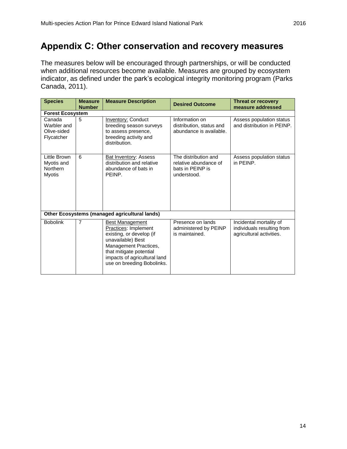# <span id="page-19-0"></span>**Appendix C: Other conservation and recovery measures**

The measures below will be encouraged through partnerships, or will be conducted when additional resources become available. Measures are grouped by ecosystem indicator, as defined under the park's ecological integrity monitoring program (Parks Canada, 2011).

| <b>Species</b>                                                 | <b>Measure</b><br><b>Number</b> | <b>Measure Description</b>                                                                                                                                                                                        | <b>Desired Outcome</b>                                                           | <b>Threat or recovery</b><br>measure addressed                                    |  |  |  |
|----------------------------------------------------------------|---------------------------------|-------------------------------------------------------------------------------------------------------------------------------------------------------------------------------------------------------------------|----------------------------------------------------------------------------------|-----------------------------------------------------------------------------------|--|--|--|
|                                                                | <b>Forest Ecosystem</b>         |                                                                                                                                                                                                                   |                                                                                  |                                                                                   |  |  |  |
| Canada<br>Warbler and<br>Olive-sided<br>Flycatcher             | 5                               | <b>Inventory: Conduct</b><br>breeding season surveys<br>to assess presence,<br>breeding activity and<br>distribution.                                                                                             | Information on<br>distribution, status and<br>abundance is available.            | Assess population status<br>and distribution in PEINP.                            |  |  |  |
| <b>Little Brown</b><br>Myotis and<br>Northern<br><b>Myotis</b> | 6                               | Bat Inventory: Assess<br>distribution and relative<br>abundance of bats in<br>PEINP.                                                                                                                              | The distribution and<br>relative abundance of<br>bats in PEINP is<br>understood. | Assess population status<br>in PEINP.                                             |  |  |  |
|                                                                |                                 | Other Ecosystems (managed agricultural lands)                                                                                                                                                                     |                                                                                  |                                                                                   |  |  |  |
| <b>Bobolink</b>                                                | 7                               | <b>Best Management</b><br>Practices: Implement<br>existing, or develop (if<br>unavailable) Best<br>Management Practices,<br>that mitigate potential<br>impacts of agricultural land<br>use on breeding Bobolinks. | Presence on lands<br>administered by PEINP<br>is maintained.                     | Incidental mortality of<br>individuals resulting from<br>agricultural activities. |  |  |  |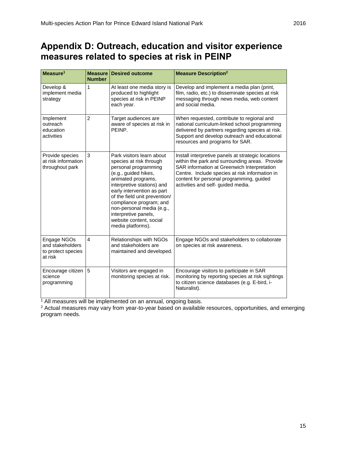<span id="page-20-0"></span>

| Measure <sup>1</sup>                                             | Measure<br><b>Number</b> | <b>Desired outcome</b>                                                                                                                                                                                                                                                                                                                                  | <b>Measure Description<sup>2</sup></b>                                                                                                                                                                                                                                                  |
|------------------------------------------------------------------|--------------------------|---------------------------------------------------------------------------------------------------------------------------------------------------------------------------------------------------------------------------------------------------------------------------------------------------------------------------------------------------------|-----------------------------------------------------------------------------------------------------------------------------------------------------------------------------------------------------------------------------------------------------------------------------------------|
| Develop &<br>implement media<br>strategy                         | 1                        | At least one media story is<br>produced to highlight<br>species at risk in PEINP<br>each year.                                                                                                                                                                                                                                                          | Develop and implement a media plan (print,<br>film, radio, etc.) to disseminate species at risk<br>messaging through news media, web content<br>and social media.                                                                                                                       |
| Implement<br>outreach<br>education<br>activities                 | $\overline{2}$           | Target audiences are<br>aware of species at risk in<br>PEINP.                                                                                                                                                                                                                                                                                           | When requested, contribute to regional and<br>national curriculum-linked school programming<br>delivered by partners regarding species at risk.<br>Support and develop outreach and educational<br>resources and programs for SAR.                                                      |
| Provide species<br>at risk information<br>throughout park        | 3                        | Park visitors learn about<br>species at risk through<br>personal programming<br>(e.g., guided hikes,<br>animated programs,<br>interpretive stations) and<br>early intervention as part<br>of the field unit prevention/<br>compliance program; and<br>non-personal media (e.g.,<br>interpretive panels,<br>website content, social<br>media platforms). | Install interpretive panels at strategic locations<br>within the park and surrounding areas. Provide<br>SAR information at Greenwich Interpretation<br>Centre. Include species at risk information in<br>content for personal programming, guided<br>activities and self- guided media. |
| Engage NGOs<br>and stakeholders<br>to protect species<br>at risk | $\overline{4}$           | Relationships with NGOs<br>and stakeholders are<br>maintained and developed.                                                                                                                                                                                                                                                                            | Engage NGOs and stakeholders to collaborate<br>on species at risk awareness.                                                                                                                                                                                                            |
| Encourage citizen<br>science<br>programming                      | 15                       | Visitors are engaged in<br>monitoring species at risk.                                                                                                                                                                                                                                                                                                  | Encourage visitors to participate in SAR<br>monitoring by reporting species at risk sightings<br>to citizen science databases (e.g. E-bird, i-<br>Naturalist).                                                                                                                          |

<sup>1</sup> All measures will be implemented on an annual, ongoing basis.

<sup>2</sup> Actual measures may vary from year-to-year based on available resources, opportunities, and emerging program needs.